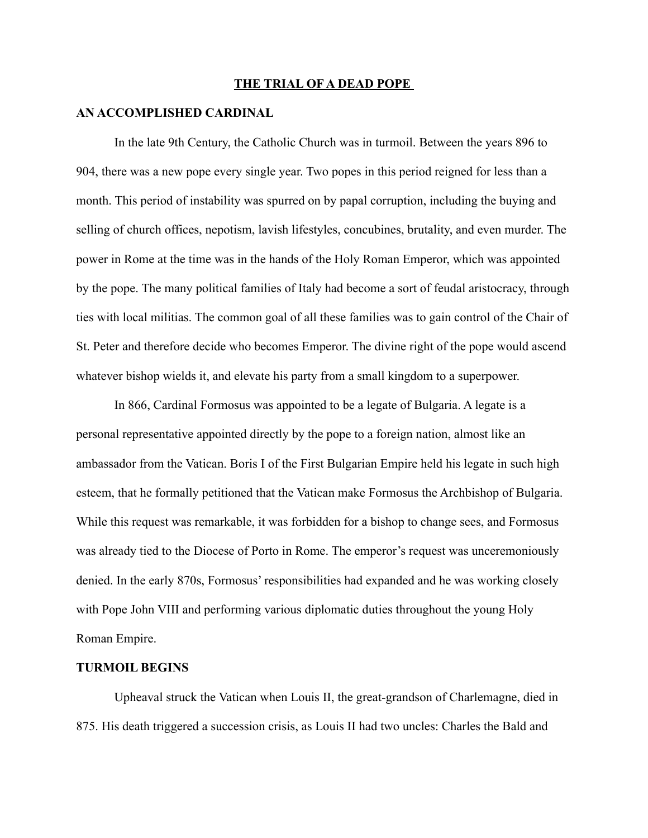#### **THE TRIAL OF A DEAD POPE**

#### **AN ACCOMPLISHED CARDINAL**

In the late 9th Century, the Catholic Church was in turmoil. Between the years 896 to 904, there was a new pope every single year. Two popes in this period reigned for less than a month. This period of instability was spurred on by papal corruption, including the buying and selling of church offices, nepotism, lavish lifestyles, concubines, brutality, and even murder. The power in Rome at the time was in the hands of the Holy Roman Emperor, which was appointed by the pope. The many political families of Italy had become a sort of feudal aristocracy, through ties with local militias. The common goal of all these families was to gain control of the Chair of St. Peter and therefore decide who becomes Emperor. The divine right of the pope would ascend whatever bishop wields it, and elevate his party from a small kingdom to a superpower.

In 866, Cardinal Formosus was appointed to be a legate of Bulgaria. A legate is a personal representative appointed directly by the pope to a foreign nation, almost like an ambassador from the Vatican. Boris I of the First Bulgarian Empire held his legate in such high esteem, that he formally petitioned that the Vatican make Formosus the Archbishop of Bulgaria. While this request was remarkable, it was forbidden for a bishop to change sees, and Formosus was already tied to the Diocese of Porto in Rome. The emperor's request was unceremoniously denied. In the early 870s, Formosus' responsibilities had expanded and he was working closely with Pope John VIII and performing various diplomatic duties throughout the young Holy Roman Empire.

# **TURMOIL BEGINS**

Upheaval struck the Vatican when Louis II, the great-grandson of Charlemagne, died in 875. His death triggered a succession crisis, as Louis II had two uncles: Charles the Bald and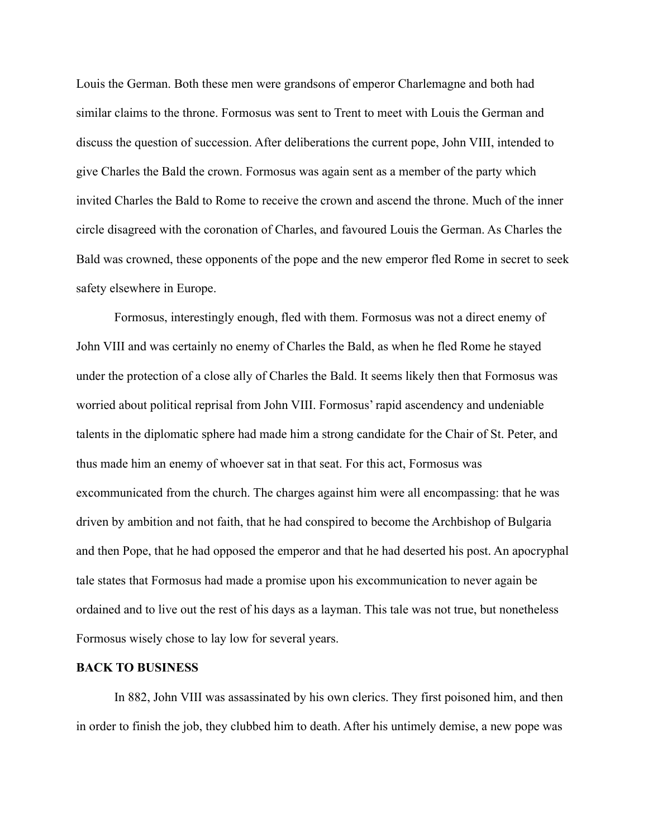Louis the German. Both these men were grandsons of emperor Charlemagne and both had similar claims to the throne. Formosus was sent to Trent to meet with Louis the German and discuss the question of succession. After deliberations the current pope, John VIII, intended to give Charles the Bald the crown. Formosus was again sent as a member of the party which invited Charles the Bald to Rome to receive the crown and ascend the throne. Much of the inner circle disagreed with the coronation of Charles, and favoured Louis the German. As Charles the Bald was crowned, these opponents of the pope and the new emperor fled Rome in secret to seek safety elsewhere in Europe.

Formosus, interestingly enough, fled with them. Formosus was not a direct enemy of John VIII and was certainly no enemy of Charles the Bald, as when he fled Rome he stayed under the protection of a close ally of Charles the Bald. It seems likely then that Formosus was worried about political reprisal from John VIII. Formosus' rapid ascendency and undeniable talents in the diplomatic sphere had made him a strong candidate for the Chair of St. Peter, and thus made him an enemy of whoever sat in that seat. For this act, Formosus was excommunicated from the church. The charges against him were all encompassing: that he was driven by ambition and not faith, that he had conspired to become the Archbishop of Bulgaria and then Pope, that he had opposed the emperor and that he had deserted his post. An apocryphal tale states that Formosus had made a promise upon his excommunication to never again be ordained and to live out the rest of his days as a layman. This tale was not true, but nonetheless Formosus wisely chose to lay low for several years.

# **BACK TO BUSINESS**

In 882, John VIII was assassinated by his own clerics. They first poisoned him, and then in order to finish the job, they clubbed him to death. After his untimely demise, a new pope was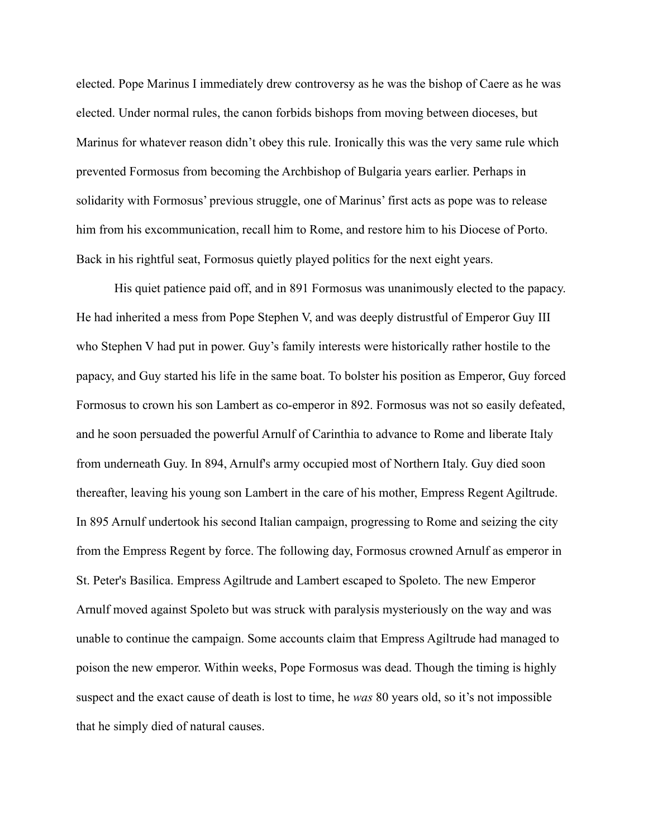elected. Pope Marinus I immediately drew controversy as he was the bishop of Caere as he was elected. Under normal rules, the canon forbids bishops from moving between dioceses, but Marinus for whatever reason didn't obey this rule. Ironically this was the very same rule which prevented Formosus from becoming the Archbishop of Bulgaria years earlier. Perhaps in solidarity with Formosus' previous struggle, one of Marinus' first acts as pope was to release him from his excommunication, recall him to Rome, and restore him to his Diocese of Porto. Back in his rightful seat, Formosus quietly played politics for the next eight years.

His quiet patience paid off, and in 891 Formosus was unanimously elected to the papacy. He had inherited a mess from Pope Stephen V, and was deeply distrustful of Emperor Guy III who Stephen V had put in power. Guy's family interests were historically rather hostile to the papacy, and Guy started his life in the same boat. To bolster his position as Emperor, Guy forced Formosus to crown his son Lambert as co-emperor in 892. Formosus was not so easily defeated, and he soon persuaded the powerful Arnulf of Carinthia to advance to Rome and liberate Italy from underneath Guy. In 894, Arnulf's army occupied most of Northern Italy. Guy died soon thereafter, leaving his young son Lambert in the care of his mother, Empress Regent Agiltrude. In 895 Arnulf undertook his second Italian campaign, progressing to Rome and seizing the city from the Empress Regent by force. The following day, Formosus crowned Arnulf as emperor in St. Peter's Basilica. Empress Agiltrude and Lambert escaped to Spoleto. The new Emperor Arnulf moved against Spoleto but was struck with paralysis mysteriously on the way and was unable to continue the campaign. Some accounts claim that Empress Agiltrude had managed to poison the new emperor. Within weeks, Pope Formosus was dead. Though the timing is highly suspect and the exact cause of death is lost to time, he *was* 80 years old, so it's not impossible that he simply died of natural causes.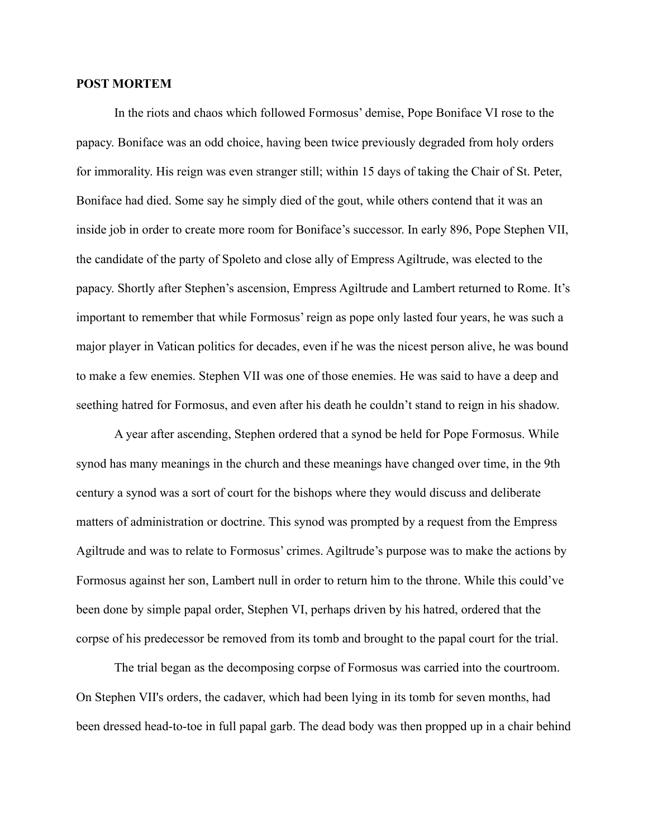# **POST MORTEM**

In the riots and chaos which followed Formosus' demise, Pope Boniface VI rose to the papacy. Boniface was an odd choice, having been twice previously degraded from holy orders for immorality. His reign was even stranger still; within 15 days of taking the Chair of St. Peter, Boniface had died. Some say he simply died of the gout, while others contend that it was an inside job in order to create more room for Boniface's successor. In early 896, Pope Stephen VII, the candidate of the party of Spoleto and close ally of Empress Agiltrude, was elected to the papacy. Shortly after Stephen's ascension, Empress Agiltrude and Lambert returned to Rome. It's important to remember that while Formosus' reign as pope only lasted four years, he was such a major player in Vatican politics for decades, even if he was the nicest person alive, he was bound to make a few enemies. Stephen VII was one of those enemies. He was said to have a deep and seething hatred for Formosus, and even after his death he couldn't stand to reign in his shadow.

A year after ascending, Stephen ordered that a synod be held for Pope Formosus. While synod has many meanings in the church and these meanings have changed over time, in the 9th century a synod was a sort of court for the bishops where they would discuss and deliberate matters of administration or doctrine. This synod was prompted by a request from the Empress Agiltrude and was to relate to Formosus' crimes. Agiltrude's purpose was to make the actions by Formosus against her son, Lambert null in order to return him to the throne. While this could've been done by simple papal order, Stephen VI, perhaps driven by his hatred, ordered that the corpse of his predecessor be removed from its tomb and brought to the papal court for the trial.

The trial began as the decomposing corpse of Formosus was carried into the courtroom. On Stephen VII's orders, the cadaver, which had been lying in its tomb for seven months, had been dressed head-to-toe in full papal garb. The dead body was then propped up in a chair behind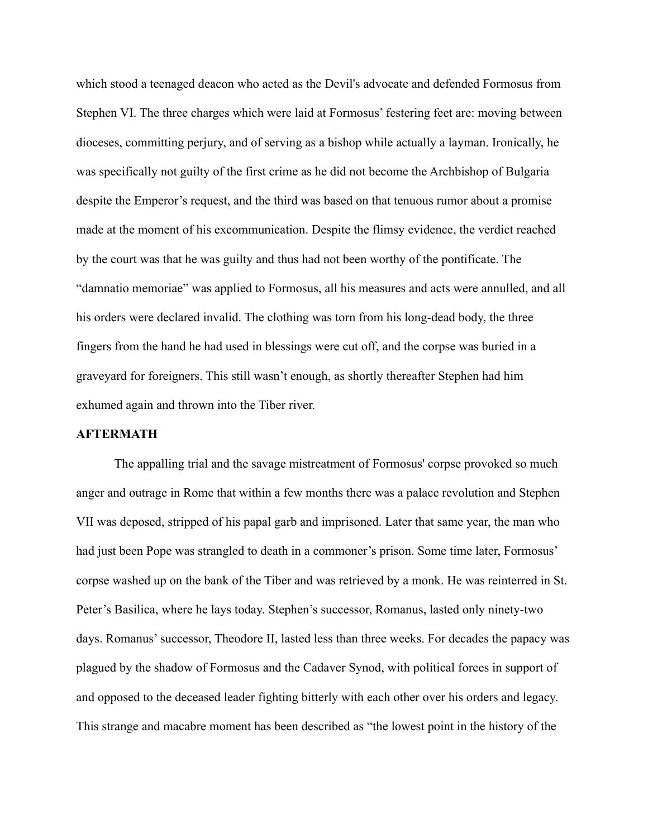which stood a teenaged deacon who acted as the Devil's advocate and defended Formosus from Stephen VI. The three charges which were laid at Formosus' festering feet are: moving between dioceses, committing perjury, and of serving as a bishop while actually a layman. Ironically, he was specifically not guilty of the first crime as he did not become the Archbishop of Bulgaria despite the Emperor's request, and the third was based on that tenuous rumor about a promise made at the moment of his excommunication. Despite the flimsy evidence, the verdict reached by the court was that he was guilty and thus had not been worthy of the pontificate. The "damnatio memoriae" was applied to Formosus, all his measures and acts were annulled, and all his orders were declared invalid. The clothing was torn from his long-dead body, the three fingers from the hand he had used in blessings were cut off, and the corpse was buried in a graveyard for foreigners. This still wasn't enough, as shortly thereafter Stephen had him exhumed again and thrown into the Tiber river.

# **AFTERMATH**

The appalling trial and the savage mistreatment of Formosus' corpse provoked so much anger and outrage in Rome that within a few months there was a palace revolution and Stephen VII was deposed, stripped of his papal garb and imprisoned. Later that same year, the man who had just been Pope was strangled to death in a commoner's prison. Some time later, Formosus' corpse washed up on the bank of the Tiber and was retrieved by a monk. He was reinterred in St. Peter's Basilica, where he lays today. Stephen's successor, Romanus, lasted only ninety-two days. Romanus' successor, Theodore II, lasted less than three weeks. For decades the papacy was plagued by the shadow of Formosus and the Cadaver Synod, with political forces in support of and opposed to the deceased leader fighting bitterly with each other over his orders and legacy. This strange and macabre moment has been described as "the lowest point in the history of the